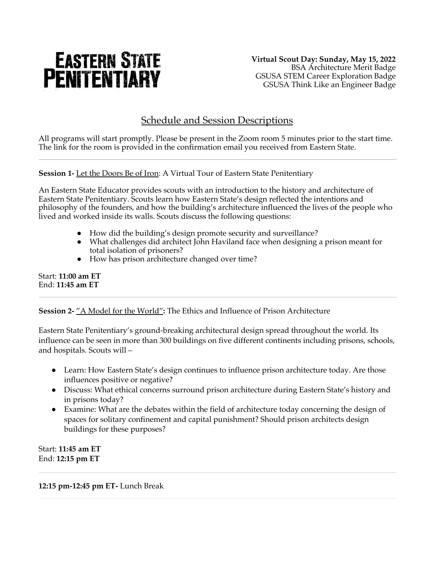# **EASTERN STATE PENITENTIARY**

**Virtual Scout Day: Sunday, May 15, 2022** BSA Architecture Merit Badge GSUSA STEM Career Exploration Badge GSUSA Think Like an Engineer Badge

# Schedule and Session Descriptions

All programs will start promptly. Please be present in the Zoom room 5 minutes prior to the start time. The link for the room is provided in the confirmation email you received from Eastern State.

**Session 1-** Let the Doors Be of Iron: A Virtual Tour of Eastern State Penitentiary

An Eastern State Educator provides scouts with an introduction to the history and architecture of Eastern State Penitentiary. Scouts learn how Eastern State's design reflected the intentions and philosophy of the founders, and how the building's architecture influenced the lives of the people who lived and worked inside its walls. Scouts discuss the following questions:

- How did the building's design promote security and surveillance?
- What challenges did architect John Haviland face when designing a prison meant for total isolation of prisoners?
- How has prison architecture changed over time?

Start: **11:00 am ET** End: **11:45 am ET**

## **Session 2-** "A Model for the World"**:** The Ethics and Influence of Prison Architecture

Eastern State Penitentiary's ground-breaking architectural design spread throughout the world. Its influence can be seen in more than 300 buildings on five different continents including prisons, schools, and hospitals. Scouts will –

- Learn: How Eastern State's design continues to influence prison architecture today. Are those influences positive or negative?
- Discuss: What ethical concerns surround prison architecture during Eastern State's history and in prisons today?
- Examine: What are the debates within the field of architecture today concerning the design of spaces for solitary confinement and capital punishment? Should prison architects design buildings for these purposes?

Start: **11:45 am ET** End: **12:15 pm ET**

**12:15 pm-12:45 pm ET-** Lunch Break